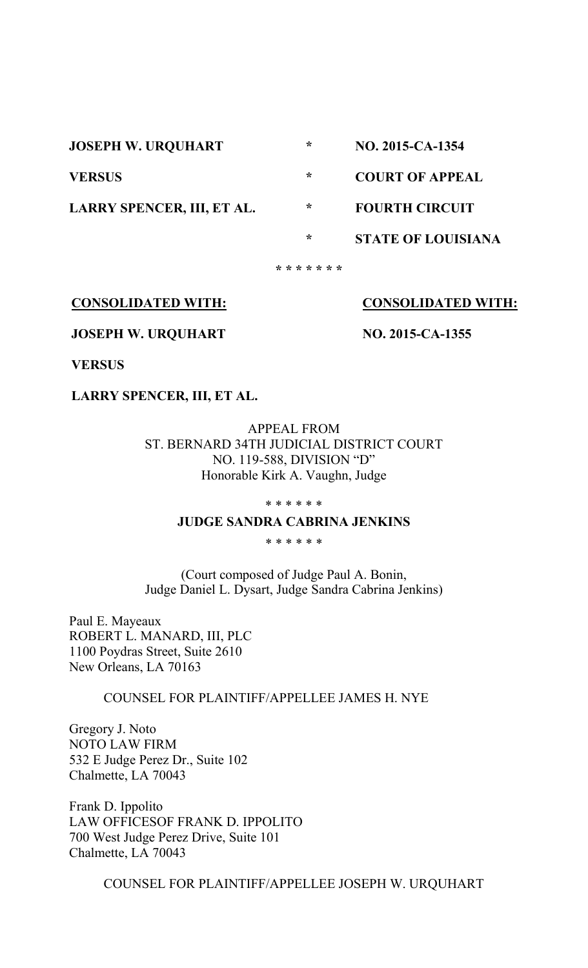**JOSEPH W. URQUHART VERSUS LARRY SPENCER, III, ET AL. \* \* \* \* \* \* \* \* \* \* \* NO. 2015-CA-1354 COURT OF APPEAL FOURTH CIRCUIT STATE OF LOUISIANA**

**CONSOLIDATED WITH:**

**CONSOLIDATED WITH:**

**JOSEPH W. URQUHART**

**NO. 2015-CA-1355**

**VERSUS**

**LARRY SPENCER, III, ET AL.**

APPEAL FROM ST. BERNARD 34TH JUDICIAL DISTRICT COURT NO. 119-588, DIVISION "D" Honorable Kirk A. Vaughn, Judge

\* \* \* \* \* \*

## **JUDGE SANDRA CABRINA JENKINS**

\* \* \* \* \* \*

(Court composed of Judge Paul A. Bonin, Judge Daniel L. Dysart, Judge Sandra Cabrina Jenkins)

Paul E. Mayeaux ROBERT L. MANARD, III, PLC 1100 Poydras Street, Suite 2610 New Orleans, LA 70163

COUNSEL FOR PLAINTIFF/APPELLEE JAMES H. NYE

Gregory J. Noto NOTO LAW FIRM 532 E Judge Perez Dr., Suite 102 Chalmette, LA 70043

Frank D. Ippolito LAW OFFICESOF FRANK D. IPPOLITO 700 West Judge Perez Drive, Suite 101 Chalmette, LA 70043

COUNSEL FOR PLAINTIFF/APPELLEE JOSEPH W. URQUHART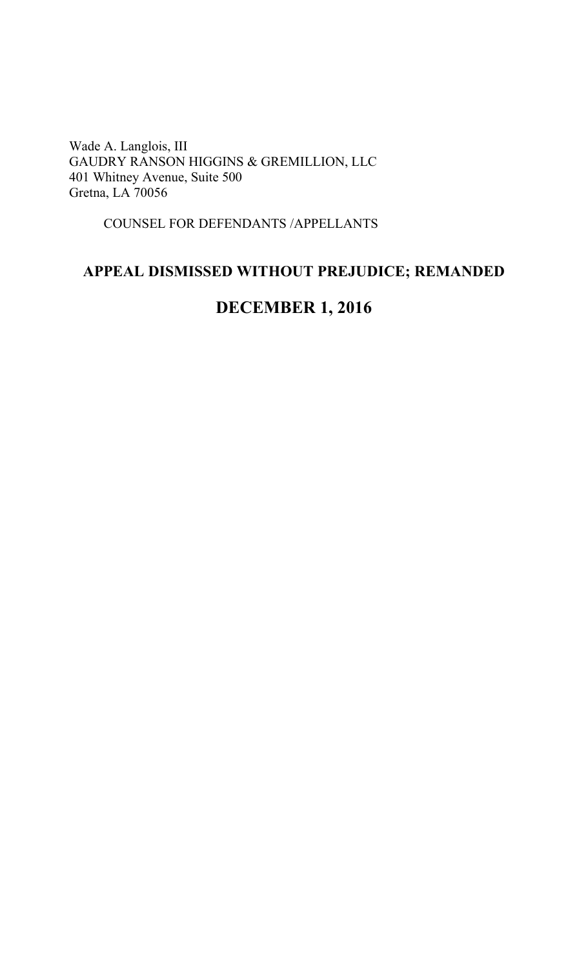Wade A. Langlois, III GAUDRY RANSON HIGGINS & GREMILLION, LLC 401 Whitney Avenue, Suite 500 Gretna, LA 70056

COUNSEL FOR DEFENDANTS /APPELLANTS

## **APPEAL DISMISSED WITHOUT PREJUDICE; REMANDED**

# **DECEMBER 1, 2016**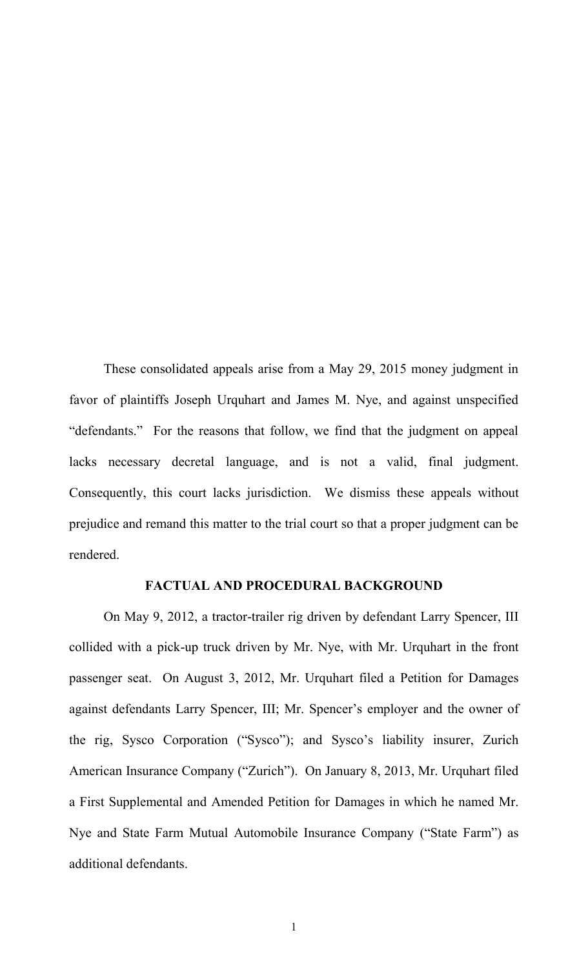These consolidated appeals arise from a May 29, 2015 money judgment in favor of plaintiffs Joseph Urquhart and James M. Nye, and against unspecified "defendants." For the reasons that follow, we find that the judgment on appeal lacks necessary decretal language, and is not a valid, final judgment. Consequently, this court lacks jurisdiction. We dismiss these appeals without prejudice and remand this matter to the trial court so that a proper judgment can be rendered.

## **FACTUAL AND PROCEDURAL BACKGROUND**

On May 9, 2012, a tractor-trailer rig driven by defendant Larry Spencer, III collided with a pick-up truck driven by Mr. Nye, with Mr. Urquhart in the front passenger seat. On August 3, 2012, Mr. Urquhart filed a Petition for Damages against defendants Larry Spencer, III; Mr. Spencer's employer and the owner of the rig, Sysco Corporation ("Sysco"); and Sysco"s liability insurer, Zurich American Insurance Company ("Zurich"). On January 8, 2013, Mr. Urquhart filed a First Supplemental and Amended Petition for Damages in which he named Mr. Nye and State Farm Mutual Automobile Insurance Company ("State Farm") as additional defendants.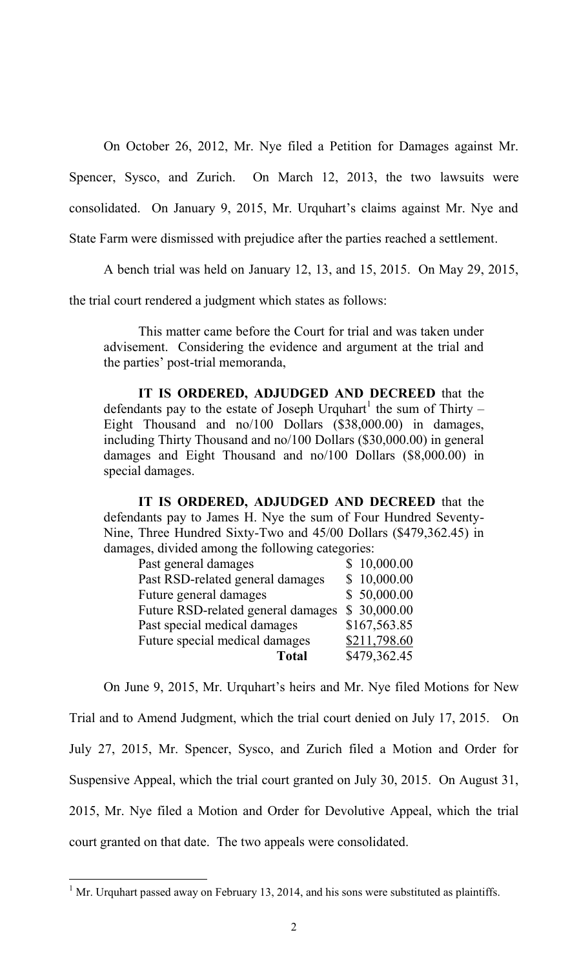On October 26, 2012, Mr. Nye filed a Petition for Damages against Mr.

Spencer, Sysco, and Zurich. On March 12, 2013, the two lawsuits were

consolidated. On January 9, 2015, Mr. Urquhart's claims against Mr. Nye and

State Farm were dismissed with prejudice after the parties reached a settlement.

A bench trial was held on January 12, 13, and 15, 2015. On May 29, 2015,

the trial court rendered a judgment which states as follows:

This matter came before the Court for trial and was taken under advisement. Considering the evidence and argument at the trial and the parties" post-trial memoranda,

**IT IS ORDERED, ADJUDGED AND DECREED** that the defendants pay to the estate of Joseph Urquhart<sup>1</sup> the sum of Thirty – Eight Thousand and no/100 Dollars (\$38,000.00) in damages, including Thirty Thousand and no/100 Dollars (\$30,000.00) in general damages and Eight Thousand and no/100 Dollars (\$8,000.00) in special damages.

**IT IS ORDERED, ADJUDGED AND DECREED** that the defendants pay to James H. Nye the sum of Four Hundred Seventy-Nine, Three Hundred Sixty-Two and 45/00 Dollars (\$479,362.45) in damages, divided among the following categories:

| Past general damages               | \$10,000.00  |
|------------------------------------|--------------|
| Past RSD-related general damages   | \$10,000.00  |
| Future general damages             | \$50,000.00  |
| Future RSD-related general damages | \$30,000.00  |
| Past special medical damages       | \$167,563.85 |
| Future special medical damages     | \$211,798.60 |
| <b>Total</b>                       | \$479,362.45 |

On June 9, 2015, Mr. Urquhart"s heirs and Mr. Nye filed Motions for New Trial and to Amend Judgment, which the trial court denied on July 17, 2015. On July 27, 2015, Mr. Spencer, Sysco, and Zurich filed a Motion and Order for Suspensive Appeal, which the trial court granted on July 30, 2015. On August 31, 2015, Mr. Nye filed a Motion and Order for Devolutive Appeal, which the trial court granted on that date. The two appeals were consolidated.

 $\overline{a}$ 

<sup>&</sup>lt;sup>1</sup> Mr. Urquhart passed away on February 13, 2014, and his sons were substituted as plaintiffs.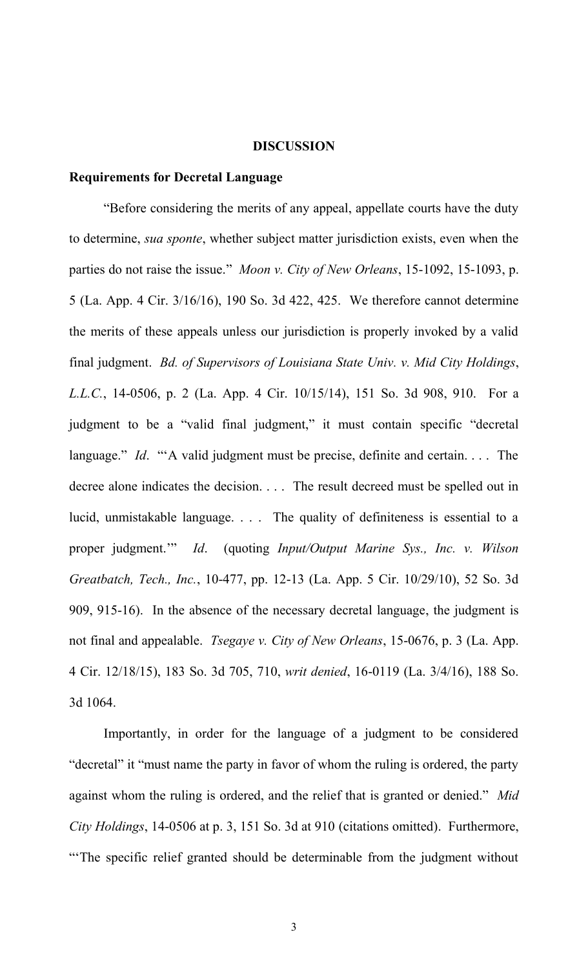#### **DISCUSSION**

### **Requirements for Decretal Language**

"Before considering the merits of any appeal, appellate courts have the duty to determine, *sua sponte*, whether subject matter jurisdiction exists, even when the parties do not raise the issue." *Moon v. City of New Orleans*, 15-1092, 15-1093, p. 5 (La. App. 4 Cir. 3/16/16), 190 So. 3d 422, 425. We therefore cannot determine the merits of these appeals unless our jurisdiction is properly invoked by a valid final judgment. *Bd. of Supervisors of Louisiana State Univ. v. Mid City Holdings*, *L.L.C.*, 14-0506, p. 2 (La. App. 4 Cir. 10/15/14), 151 So. 3d 908, 910. For a judgment to be a "valid final judgment," it must contain specific "decretal language." *Id.* ""A valid judgment must be precise, definite and certain.... The decree alone indicates the decision. . . . The result decreed must be spelled out in lucid, unmistakable language. . . . The quality of definiteness is essential to a proper judgment."" *Id*. (quoting *Input/Output Marine Sys., Inc. v. Wilson Greatbatch, Tech., Inc.*, 10-477, pp. 12-13 (La. App. 5 Cir. 10/29/10), 52 So. 3d 909, 915-16). In the absence of the necessary decretal language, the judgment is not final and appealable. *Tsegaye v. City of New Orleans*, 15-0676, p. 3 (La. App. 4 Cir. 12/18/15), 183 So. 3d 705, 710, *writ denied*, 16-0119 (La. 3/4/16), 188 So. 3d 1064.

Importantly, in order for the language of a judgment to be considered "decretal" it "must name the party in favor of whom the ruling is ordered, the party against whom the ruling is ordered, and the relief that is granted or denied." *Mid City Holdings*, 14-0506 at p. 3, 151 So. 3d at 910 (citations omitted). Furthermore, ""The specific relief granted should be determinable from the judgment without

3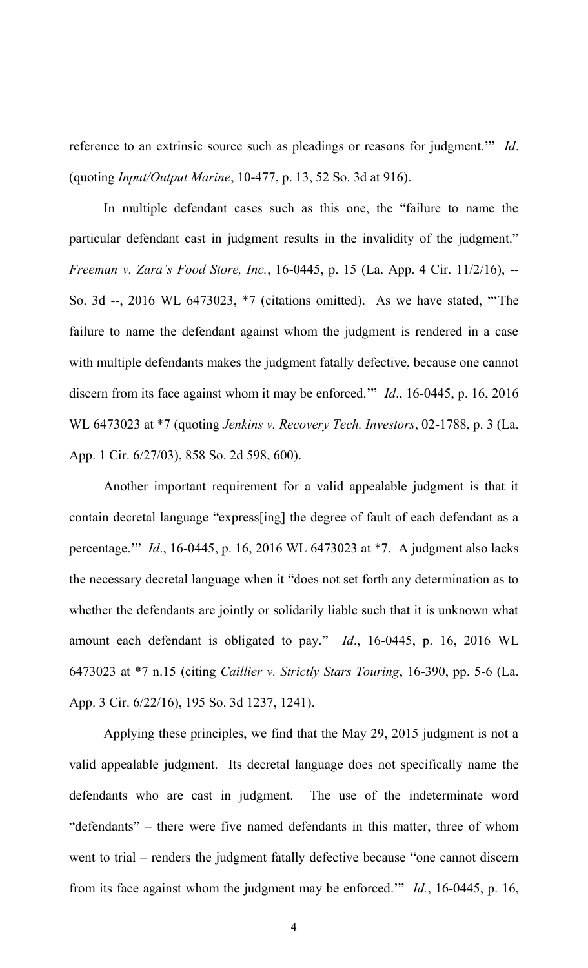reference to an extrinsic source such as pleadings or reasons for judgment."" *Id*. (quoting *Input/Output Marine*, 10-477, p. 13, 52 So. 3d at 916).

In multiple defendant cases such as this one, the "failure to name the particular defendant cast in judgment results in the invalidity of the judgment." *Freeman v. Zara's Food Store, Inc.*, 16-0445, p. 15 (La. App. 4 Cir. 11/2/16), -- So. 3d --, 2016 WL 6473023, \*7 (citations omitted). As we have stated, ""The failure to name the defendant against whom the judgment is rendered in a case with multiple defendants makes the judgment fatally defective, because one cannot discern from its face against whom it may be enforced."" *Id*., 16-0445, p. 16, 2016 WL 6473023 at \*7 (quoting *Jenkins v. Recovery Tech. Investors*, 02-1788, p. 3 (La. App. 1 Cir. 6/27/03), 858 So. 2d 598, 600).

Another important requirement for a valid appealable judgment is that it contain decretal language "express[ing] the degree of fault of each defendant as a percentage."" *Id*., 16-0445, p. 16, 2016 WL 6473023 at \*7. A judgment also lacks the necessary decretal language when it "does not set forth any determination as to whether the defendants are jointly or solidarily liable such that it is unknown what amount each defendant is obligated to pay." *Id*., 16-0445, p. 16, 2016 WL 6473023 at \*7 n.15 (citing *Caillier v. Strictly Stars Touring*, 16-390, pp. 5-6 (La. App. 3 Cir. 6/22/16), 195 So. 3d 1237, 1241).

Applying these principles, we find that the May 29, 2015 judgment is not a valid appealable judgment. Its decretal language does not specifically name the defendants who are cast in judgment. The use of the indeterminate word "defendants" – there were five named defendants in this matter, three of whom went to trial – renders the judgment fatally defective because "one cannot discern from its face against whom the judgment may be enforced."" *Id.*, 16-0445, p. 16,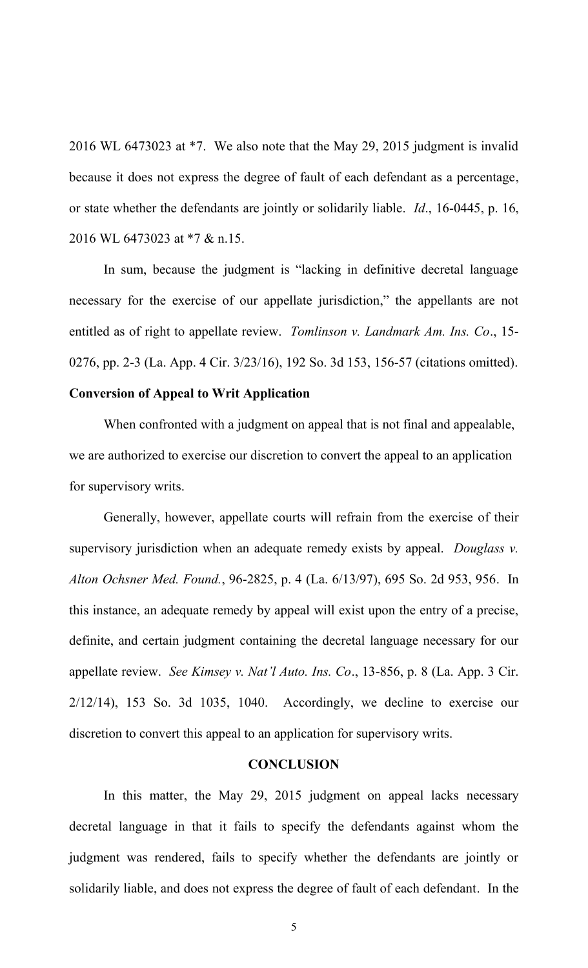2016 WL 6473023 at \*7. We also note that the May 29, 2015 judgment is invalid because it does not express the degree of fault of each defendant as a percentage, or state whether the defendants are jointly or solidarily liable. *Id*., 16-0445, p. 16, 2016 WL 6473023 at \*7 & n.15.

In sum, because the judgment is "lacking in definitive decretal language necessary for the exercise of our appellate jurisdiction," the appellants are not entitled as of right to appellate review. *Tomlinson v. Landmark Am. Ins. Co*., 15- 0276, pp. 2-3 (La. App. 4 Cir. 3/23/16), 192 So. 3d 153, 156-57 (citations omitted).

## **Conversion of Appeal to Writ Application**

When confronted with a judgment on appeal that is not final and appealable, we are authorized to exercise our discretion to convert the appeal to an application for supervisory writs.

Generally, however, appellate courts will refrain from the exercise of their supervisory jurisdiction when an adequate remedy exists by appeal. *Douglass v. Alton Ochsner Med. Found.*, 96-2825, p. 4 (La. 6/13/97), 695 So. 2d 953, 956. In this instance, an adequate remedy by appeal will exist upon the entry of a precise, definite, and certain judgment containing the decretal language necessary for our appellate review. *See Kimsey v. Nat'l Auto. Ins. Co*., 13-856, p. 8 (La. App. 3 Cir. 2/12/14), 153 So. 3d 1035, 1040. Accordingly, we decline to exercise our discretion to convert this appeal to an application for supervisory writs.

## **CONCLUSION**

In this matter, the May 29, 2015 judgment on appeal lacks necessary decretal language in that it fails to specify the defendants against whom the judgment was rendered, fails to specify whether the defendants are jointly or solidarily liable, and does not express the degree of fault of each defendant. In the

5